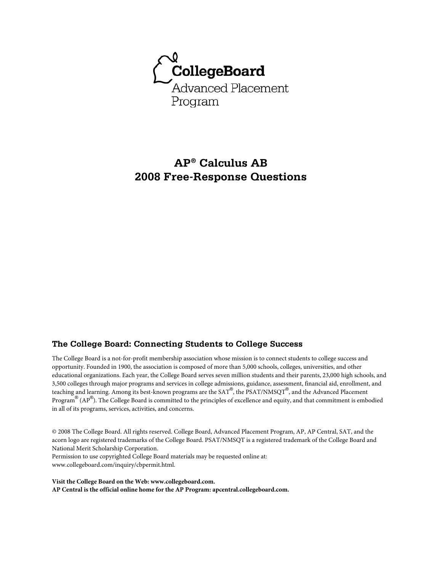

# **AP® Calculus AB 2008 Free-Response Questions**

### **The College Board: Connecting Students to College Success**

The College Board is a not-for-profit membership association whose mission is to connect students to college success and opportunity. Founded in 1900, the association is composed of more than 5,000 schools, colleges, universities, and other educational organizations. Each year, the College Board serves seven million students and their parents, 23,000 high schools, and 3,500 colleges through major programs and services in college admissions, guidance, assessment, financial aid, enrollment, and teaching and learning. Among its best-known programs are the SAT®, the PSAT/NMSQT®, and the Advanced Placement Program® (AP®). The College Board is committed to the principles of excellence and equity, and that commitment is embodied in all of its programs, services, activities, and concerns.

© 2008 The College Board. All rights reserved. College Board, Advanced Placement Program, AP, AP Central, SAT, and the acorn logo are registered trademarks of the College Board. PSAT/NMSQT is a registered trademark of the College Board and National Merit Scholarship Corporation.

Permission to use copyrighted College Board materials may be requested online at: www.collegeboard.com/inquiry/cbpermit.html.

**Visit the College Board on the Web: www.collegeboard.com. AP Central is the official online home for the AP Program: apcentral.collegeboard.com.**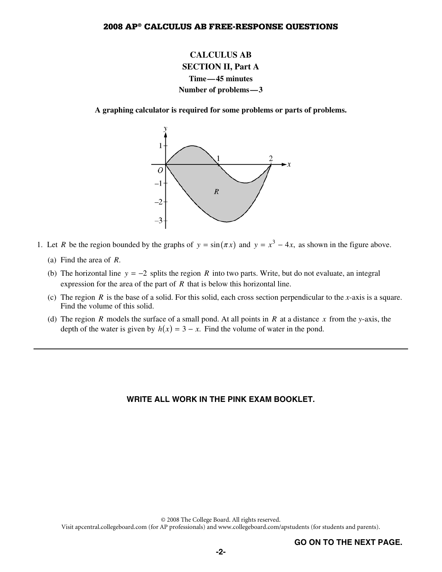# **CALCULUS AB SECTION II, Part A Time—45 minutes Number of problems—3**

**A graphing calculator is required for some problems or parts of problems.** 



- 1. Let *R* be the region bounded by the graphs of  $y = sin(\pi x)$  and  $y = x^3 4x$ , as shown in the figure above.
	- (a) Find the area of *R*.
	- (b) The horizontal line  $y = -2$  splits the region *R* into two parts. Write, but do not evaluate, an integral expression for the area of the part of *R* that is below this horizontal line.
	- (c) The region *R* is the base of a solid. For this solid, each cross section perpendicular to the *x*-axis is a square. Find the volume of this solid.
	- (d) The region *R* models the surface of a small pond. At all points in *R* at a distance *x* from the *y*-axis, the depth of the water is given by  $h(x) = 3 - x$ . Find the volume of water in the pond.

#### **WRITE ALL WORK IN THE PINK EXAM BOOKLET.**

© 2008 The College Board. All rights reserved.

Visit apcentral.collegeboard.com (for AP professionals) and www.collegeboard.com/apstudents (for students and parents).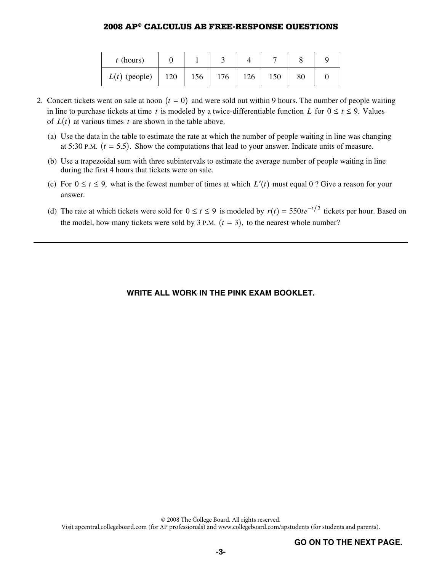| $t$ (hours)     |                     |     |     |     |        |  |
|-----------------|---------------------|-----|-----|-----|--------|--|
| $L(t)$ (people) | 120<br>$\mathbb{L}$ | 156 | 176 | 126 | $80\,$ |  |

- 2. Concert tickets went on sale at noon  $(t = 0)$  and were sold out within 9 hours. The number of people waiting in line to purchase tickets at time *t* is modeled by a twice-differentiable function *L* for  $0 \le t \le 9$ . Values of  $L(t)$  at various times t are shown in the table above.
	- (a) Use the data in the table to estimate the rate at which the number of people waiting in line was changing at 5:30 P.M.  $(t = 5.5)$ . Show the computations that lead to your answer. Indicate units of measure.
	- (b) Use a trapezoidal sum with three subintervals to estimate the average number of people waiting in line during the first 4 hours that tickets were on sale.
	- (c) For  $0 \le t \le 9$ , what is the fewest number of times at which  $L'(t)$  must equal 0 ? Give a reason for your answer.
	- (d) The rate at which tickets were sold for  $0 \le t \le 9$  is modeled by  $r(t) = 550te^{-t/2}$  tickets per hour. Based on the model, how many tickets were sold by 3 P.M.  $(t = 3)$ , to the nearest whole number?

### **WRITE ALL WORK IN THE PINK EXAM BOOKLET.**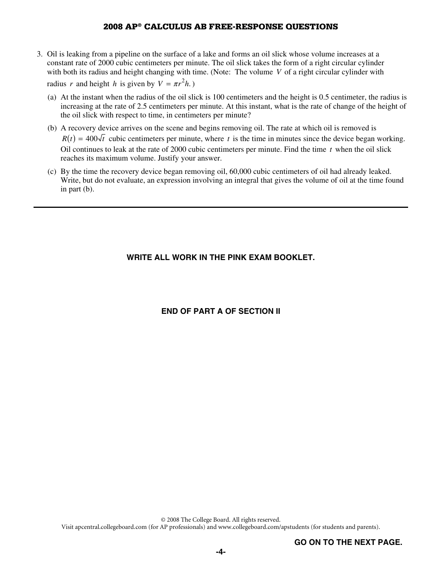- 3. Oil is leaking from a pipeline on the surface of a lake and forms an oil slick whose volume increases at a constant rate of 2000 cubic centimeters per minute. The oil slick takes the form of a right circular cylinder with both its radius and height changing with time. (Note: The volume *V* of a right circular cylinder with radius *r* and height *h* is given by  $V = \pi r^2 h$ .
	- (a) At the instant when the radius of the oil slick is 100 centimeters and the height is 0.5 centimeter, the radius is increasing at the rate of 2.5 centimeters per minute. At this instant, what is the rate of change of the height of the oil slick with respect to time, in centimeters per minute?
	- (b) A recovery device arrives on the scene and begins removing oil. The rate at which oil is removed is  $R(t) = 400\sqrt{t}$  cubic centimeters per minute, where t is the time in minutes since the device began working. Oil continues to leak at the rate of 2000 cubic centimeters per minute. Find the time *t* when the oil slick reaches its maximum volume. Justify your answer.
	- (c) By the time the recovery device began removing oil, 60,000 cubic centimeters of oil had already leaked. Write, but do not evaluate, an expression involving an integral that gives the volume of oil at the time found in part (b).

### **WRITE ALL WORK IN THE PINK EXAM BOOKLET.**

### **END OF PART A OF SECTION II**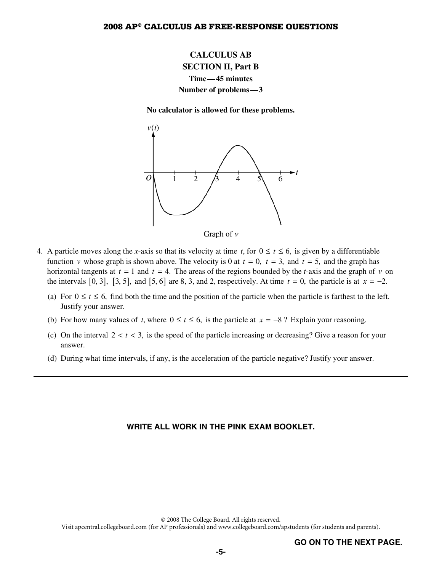# **CALCULUS AB SECTION II, Part B Time—45 minutes Number of problems—3**

**No calculator is allowed for these problems.** 





- 4. A particle moves along the *x*-axis so that its velocity at time *t*, for  $0 \le t \le 6$ , is given by a differentiable function *v* whose graph is shown above. The velocity is 0 at  $t = 0$ ,  $t = 3$ , and  $t = 5$ , and the graph has horizontal tangents at  $t = 1$  and  $t = 4$ . The areas of the regions bounded by the *t*-axis and the graph of *v* on the intervals  $[0, 3]$ ,  $[3, 5]$ , and  $[5, 6]$  are 8, 3, and 2, respectively. At time  $t = 0$ , the particle is at  $x = -2$ .
	- (a) For  $0 \le t \le 6$ , find both the time and the position of the particle when the particle is farthest to the left. Justify your answer.
	- (b) For how many values of *t*, where  $0 \le t \le 6$ , is the particle at  $x = -8$ ? Explain your reasoning.
	- (c) On the interval  $2 < t < 3$ , is the speed of the particle increasing or decreasing? Give a reason for your answer.
	- (d) During what time intervals, if any, is the acceleration of the particle negative? Justify your answer.

#### **WRITE ALL WORK IN THE PINK EXAM BOOKLET.**

© 2008 The College Board. All rights reserved.

Visit apcentral.collegeboard.com (for AP professionals) and www.collegeboard.com/apstudents (for students and parents).